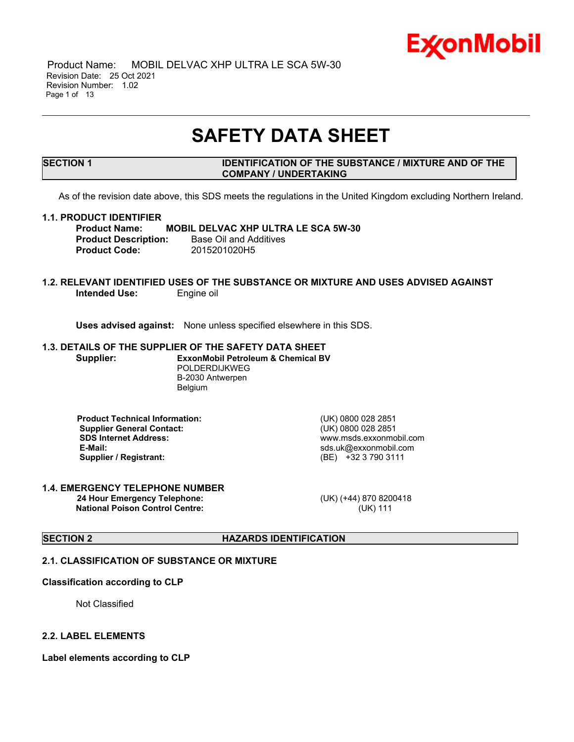

 Product Name: MOBIL DELVAC XHP ULTRA LE SCA 5W-30 Revision Date: 25 Oct 2021 Revision Number: 1.02 Page 1 of 13

## **SAFETY DATA SHEET**

\_\_\_\_\_\_\_\_\_\_\_\_\_\_\_\_\_\_\_\_\_\_\_\_\_\_\_\_\_\_\_\_\_\_\_\_\_\_\_\_\_\_\_\_\_\_\_\_\_\_\_\_\_\_\_\_\_\_\_\_\_\_\_\_\_\_\_\_\_\_\_\_\_\_\_\_\_\_\_\_\_\_\_\_\_\_\_\_\_\_\_\_\_\_\_\_\_\_\_\_\_\_\_\_\_\_\_\_\_\_\_\_\_\_\_\_\_

#### **SECTION 1 IDENTIFICATION OF THE SUBSTANCE / MIXTURE AND OF THE COMPANY / UNDERTAKING**

As of the revision date above, this SDS meets the regulations in the United Kingdom excluding Northern Ireland.

#### **1.1. PRODUCT IDENTIFIER**

**Product Name: MOBIL DELVAC XHP ULTRA LE SCA 5W-30 Product Description:** Base Oil and Additives **Product Code:** 2015201020H5

#### **1.2. RELEVANT IDENTIFIED USES OF THE SUBSTANCE OR MIXTURE AND USES ADVISED AGAINST Intended Use:** Engine oil

**Uses advised against:** None unless specified elsewhere in this SDS.

#### **1.3. DETAILS OF THE SUPPLIER OF THE SAFETY DATA SHEET**

**Supplier: ExxonMobil Petroleum & Chemical BV** POLDERDIJKWEG B-2030 Antwerpen Belgium

**Product Technical Information:** (UK) 0800 028 2851 **Supplier General Contact:** (UK) 0800 028 2851 **SDS Internet Address:** www.msds.exxonmobil.com **Supplier / Registrant:** (BE) +32 3 790 3111

**E-Mail:** sds.uk@exxonmobil.com

#### **1.4. EMERGENCY TELEPHONE NUMBER 24 Hour Emergency Telephone:** (UK) (+44) 870 8200418 **National Poison Control Centre:** (UK) 111

## **SECTION 2 HAZARDS IDENTIFICATION**

## **2.1. CLASSIFICATION OF SUBSTANCE OR MIXTURE**

#### **Classification according to CLP**

Not Classified

#### **2.2. LABEL ELEMENTS**

**Label elements according to CLP**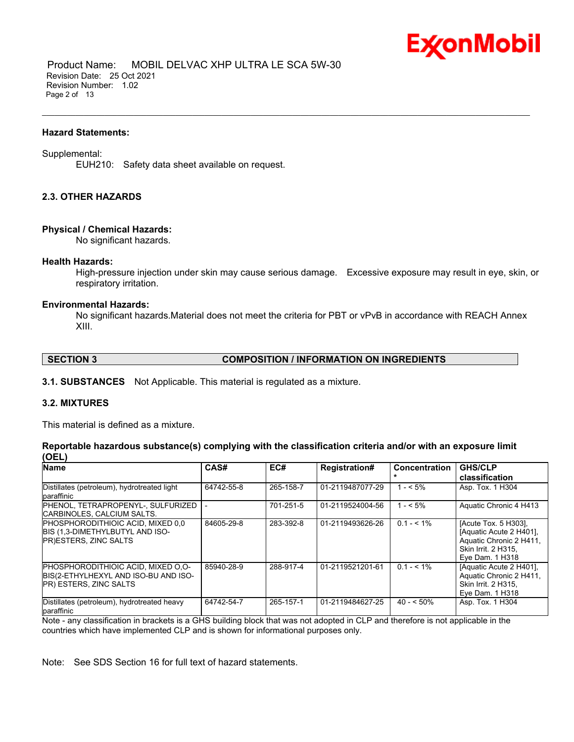

 Product Name: MOBIL DELVAC XHP ULTRA LE SCA 5W-30 Revision Date: 25 Oct 2021 Revision Number: 1.02 Page 2 of 13

#### **Hazard Statements:**

#### Supplemental:

EUH210: Safety data sheet available on request.

#### **2.3. OTHER HAZARDS**

#### **Physical / Chemical Hazards:**

No significant hazards.

#### **Health Hazards:**

High-pressure injection under skin may cause serious damage. Excessive exposure may result in eye, skin, or respiratory irritation.

\_\_\_\_\_\_\_\_\_\_\_\_\_\_\_\_\_\_\_\_\_\_\_\_\_\_\_\_\_\_\_\_\_\_\_\_\_\_\_\_\_\_\_\_\_\_\_\_\_\_\_\_\_\_\_\_\_\_\_\_\_\_\_\_\_\_\_\_\_\_\_\_\_\_\_\_\_\_\_\_\_\_\_\_\_\_\_\_\_\_\_\_\_\_\_\_\_\_\_\_\_\_\_\_\_\_\_\_\_\_\_\_\_\_\_\_\_

#### **Environmental Hazards:**

No significant hazards.Material does not meet the criteria for PBT or vPvB in accordance with REACH Annex XIII.

#### **SECTION 3 COMPOSITION / INFORMATION ON INGREDIENTS**

**3.1. SUBSTANCES** Not Applicable. This material is regulated as a mixture.

#### **3.2. MIXTURES**

This material is defined as a mixture.

#### **Reportable hazardous substance(s) complying with the classification criteria and/or with an exposure limit (OEL)**

| Name                                                                                                        | CAS#       | EC#       | <b>Registration#</b> | <b>Concentration</b> | <b>GHS/CLP</b><br>classification                                                                                    |
|-------------------------------------------------------------------------------------------------------------|------------|-----------|----------------------|----------------------|---------------------------------------------------------------------------------------------------------------------|
| Distillates (petroleum), hydrotreated light<br>paraffinic                                                   | 64742-55-8 | 265-158-7 | 01-2119487077-29     | $1 - 5\%$            | Asp. Tox. 1 H304                                                                                                    |
| PHENOL, TETRAPROPENYL-, SULFURIZED<br>ICARBINOLES. CALCIUM SALTS.                                           |            | 701-251-5 | 01-2119524004-56     | $1 - 5\%$            | Aquatic Chronic 4 H413                                                                                              |
| <b>PHOSPHORODITHIOIC ACID. MIXED 0.0</b><br>BIS (1,3-DIMETHYLBUTYL AND ISO-<br>PR)ESTERS, ZINC SALTS        | 84605-29-8 | 283-392-8 | 01-2119493626-26     | $0.1 - 5.1\%$        | [Acute Tox. 5 H303],<br>[Aquatic Acute 2 H401].<br>Aquatic Chronic 2 H411<br>Skin Irrit. 2 H315.<br>Eye Dam. 1 H318 |
| PHOSPHORODITHIOIC ACID, MIXED O.O-<br>BIS(2-ETHYLHEXYL AND ISO-BU AND ISO-<br><b>PR) ESTERS, ZINC SALTS</b> | 85940-28-9 | 288-917-4 | 01-2119521201-61     | $0.1 - 5.1\%$        | [Aquatic Acute 2 H401].<br>Aquatic Chronic 2 H411.<br>Skin Irrit. 2 H315.<br>Eye Dam. 1 H318                        |
| Distillates (petroleum), hydrotreated heavy<br>paraffinic                                                   | 64742-54-7 | 265-157-1 | 01-2119484627-25     | $40 - 50\%$          | Asp. Tox. 1 H304                                                                                                    |

Note - any classification in brackets is a GHS building block that was not adopted in CLP and therefore is not applicable in the countries which have implemented CLP and is shown for informational purposes only.

Note: See SDS Section 16 for full text of hazard statements.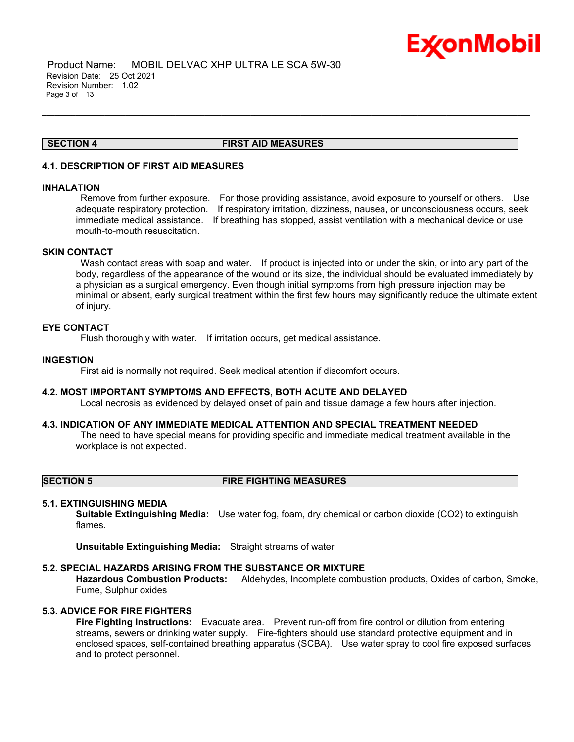

 Product Name: MOBIL DELVAC XHP ULTRA LE SCA 5W-30 Revision Date: 25 Oct 2021 Revision Number: 1.02 Page 3 of 13

#### **SECTION 4 FIRST AID MEASURES**

\_\_\_\_\_\_\_\_\_\_\_\_\_\_\_\_\_\_\_\_\_\_\_\_\_\_\_\_\_\_\_\_\_\_\_\_\_\_\_\_\_\_\_\_\_\_\_\_\_\_\_\_\_\_\_\_\_\_\_\_\_\_\_\_\_\_\_\_\_\_\_\_\_\_\_\_\_\_\_\_\_\_\_\_\_\_\_\_\_\_\_\_\_\_\_\_\_\_\_\_\_\_\_\_\_\_\_\_\_\_\_\_\_\_\_\_\_

#### **4.1. DESCRIPTION OF FIRST AID MEASURES**

#### **INHALATION**

Remove from further exposure. For those providing assistance, avoid exposure to yourself or others. Use adequate respiratory protection. If respiratory irritation, dizziness, nausea, or unconsciousness occurs, seek immediate medical assistance. If breathing has stopped, assist ventilation with a mechanical device or use mouth-to-mouth resuscitation.

#### **SKIN CONTACT**

Wash contact areas with soap and water. If product is injected into or under the skin, or into any part of the body, regardless of the appearance of the wound or its size, the individual should be evaluated immediately by a physician as a surgical emergency. Even though initial symptoms from high pressure injection may be minimal or absent, early surgical treatment within the first few hours may significantly reduce the ultimate extent of injury.

#### **EYE CONTACT**

Flush thoroughly with water. If irritation occurs, get medical assistance.

#### **INGESTION**

First aid is normally not required. Seek medical attention if discomfort occurs.

#### **4.2. MOST IMPORTANT SYMPTOMS AND EFFECTS, BOTH ACUTE AND DELAYED**

Local necrosis as evidenced by delayed onset of pain and tissue damage a few hours after injection.

#### **4.3. INDICATION OF ANY IMMEDIATE MEDICAL ATTENTION AND SPECIAL TREATMENT NEEDED**

The need to have special means for providing specific and immediate medical treatment available in the workplace is not expected.

#### **SECTION 5 FIRE FIGHTING MEASURES**

#### **5.1. EXTINGUISHING MEDIA**

**Suitable Extinguishing Media:** Use water fog, foam, dry chemical or carbon dioxide (CO2) to extinguish flames.

**Unsuitable Extinguishing Media:** Straight streams of water

#### **5.2. SPECIAL HAZARDS ARISING FROM THE SUBSTANCE OR MIXTURE**

**Hazardous Combustion Products:** Aldehydes, Incomplete combustion products, Oxides of carbon, Smoke, Fume, Sulphur oxides

#### **5.3. ADVICE FOR FIRE FIGHTERS**

**Fire Fighting Instructions:** Evacuate area. Prevent run-off from fire control or dilution from entering streams, sewers or drinking water supply. Fire-fighters should use standard protective equipment and in enclosed spaces, self-contained breathing apparatus (SCBA). Use water spray to cool fire exposed surfaces and to protect personnel.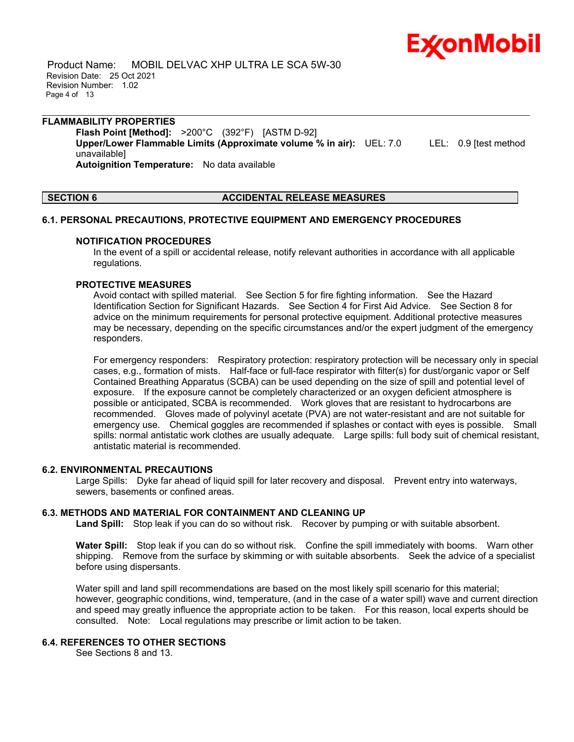Product Name: MOBIL DELVAC XHP ULTRA LE SCA 5W-30 Revision Date: 25 Oct 2021 Revision Number: 1.02 Page 4 of 13

#### \_\_\_\_\_\_\_\_\_\_\_\_\_\_\_\_\_\_\_\_\_\_\_\_\_\_\_\_\_\_\_\_\_\_\_\_\_\_\_\_\_\_\_\_\_\_\_\_\_\_\_\_\_\_\_\_\_\_\_\_\_\_\_\_\_\_\_\_\_\_\_\_\_\_\_\_\_\_\_\_\_\_\_\_\_\_\_\_\_\_\_\_\_\_\_\_\_\_\_\_\_\_\_\_\_\_\_\_\_\_\_\_\_\_\_\_\_ **FLAMMABILITY PROPERTIES Flash Point [Method]:** >200°C (392°F) [ASTM D-92]

**Upper/Lower Flammable Limits (Approximate volume % in air):** UEL: 7.0 LEL: 0.9 [test method unavailable]

**Autoignition Temperature:** No data available

## **SECTION 6 ACCIDENTAL RELEASE MEASURES**

## **6.1. PERSONAL PRECAUTIONS, PROTECTIVE EQUIPMENT AND EMERGENCY PROCEDURES**

## **NOTIFICATION PROCEDURES**

In the event of a spill or accidental release, notify relevant authorities in accordance with all applicable regulations.

#### **PROTECTIVE MEASURES**

Avoid contact with spilled material. See Section 5 for fire fighting information. See the Hazard Identification Section for Significant Hazards. See Section 4 for First Aid Advice. See Section 8 for advice on the minimum requirements for personal protective equipment. Additional protective measures may be necessary, depending on the specific circumstances and/or the expert judgment of the emergency responders.

For emergency responders: Respiratory protection: respiratory protection will be necessary only in special cases, e.g., formation of mists. Half-face or full-face respirator with filter(s) for dust/organic vapor or Self Contained Breathing Apparatus (SCBA) can be used depending on the size of spill and potential level of exposure. If the exposure cannot be completely characterized or an oxygen deficient atmosphere is possible or anticipated, SCBA is recommended. Work gloves that are resistant to hydrocarbons are recommended. Gloves made of polyvinyl acetate (PVA) are not water-resistant and are not suitable for emergency use. Chemical goggles are recommended if splashes or contact with eyes is possible. Small spills: normal antistatic work clothes are usually adequate. Large spills: full body suit of chemical resistant, antistatic material is recommended.

## **6.2. ENVIRONMENTAL PRECAUTIONS**

Large Spills: Dyke far ahead of liquid spill for later recovery and disposal. Prevent entry into waterways, sewers, basements or confined areas.

## **6.3. METHODS AND MATERIAL FOR CONTAINMENT AND CLEANING UP**

**Land Spill:** Stop leak if you can do so without risk. Recover by pumping or with suitable absorbent.

**Water Spill:** Stop leak if you can do so without risk. Confine the spill immediately with booms. Warn other shipping. Remove from the surface by skimming or with suitable absorbents. Seek the advice of a specialist before using dispersants.

Water spill and land spill recommendations are based on the most likely spill scenario for this material; however, geographic conditions, wind, temperature, (and in the case of a water spill) wave and current direction and speed may greatly influence the appropriate action to be taken. For this reason, local experts should be consulted. Note: Local regulations may prescribe or limit action to be taken.

## **6.4. REFERENCES TO OTHER SECTIONS**

See Sections 8 and 13.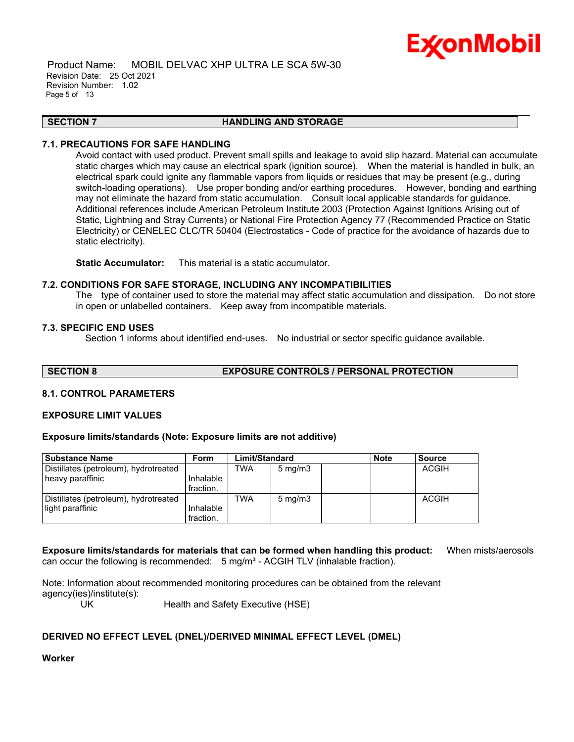Product Name: MOBIL DELVAC XHP ULTRA LE SCA 5W-30 Revision Date: 25 Oct 2021 Revision Number: 1.02 Page 5 of 13

#### \_\_\_\_\_\_\_\_\_\_\_\_\_\_\_\_\_\_\_\_\_\_\_\_\_\_\_\_\_\_\_\_\_\_\_\_\_\_\_\_\_\_\_\_\_\_\_\_\_\_\_\_\_\_\_\_\_\_\_\_\_\_\_\_\_\_\_\_\_\_\_\_\_\_\_\_\_\_\_\_\_\_\_\_\_\_\_\_\_\_\_\_\_\_\_\_\_\_\_\_\_\_\_\_\_\_\_\_\_\_\_\_\_\_\_\_\_ **SECTION 7 HANDLING AND STORAGE**

## **7.1. PRECAUTIONS FOR SAFE HANDLING**

Avoid contact with used product. Prevent small spills and leakage to avoid slip hazard. Material can accumulate static charges which may cause an electrical spark (ignition source). When the material is handled in bulk, an electrical spark could ignite any flammable vapors from liquids or residues that may be present (e.g., during switch-loading operations). Use proper bonding and/or earthing procedures. However, bonding and earthing may not eliminate the hazard from static accumulation. Consult local applicable standards for guidance. Additional references include American Petroleum Institute 2003 (Protection Against Ignitions Arising out of Static, Lightning and Stray Currents) or National Fire Protection Agency 77 (Recommended Practice on Static Electricity) or CENELEC CLC/TR 50404 (Electrostatics - Code of practice for the avoidance of hazards due to static electricity).

**Static Accumulator:** This material is a static accumulator.

#### **7.2. CONDITIONS FOR SAFE STORAGE, INCLUDING ANY INCOMPATIBILITIES**

The type of container used to store the material may affect static accumulation and dissipation. Do not store in open or unlabelled containers. Keep away from incompatible materials.

#### **7.3. SPECIFIC END USES**

Section 1 informs about identified end-uses. No industrial or sector specific guidance available.

**SECTION 8 EXPOSURE CONTROLS / PERSONAL PROTECTION**

## **8.1. CONTROL PARAMETERS**

#### **EXPOSURE LIMIT VALUES**

#### **Exposure limits/standards (Note: Exposure limits are not additive)**

| <b>Substance Name</b>                 | <b>Form</b> | Limit/Standard |                  | <b>Note</b> | <b>Source</b> |
|---------------------------------------|-------------|----------------|------------------|-------------|---------------|
| Distillates (petroleum), hydrotreated |             | <b>TWA</b>     | $5 \text{ mg/m}$ |             | <b>ACGIH</b>  |
| heavy paraffinic                      | Inhalable   |                |                  |             |               |
|                                       | fraction.   |                |                  |             |               |
| Distillates (petroleum), hydrotreated |             | TWA            | $5 \text{ mg/m}$ |             | <b>ACGIH</b>  |
| light paraffinic                      | Inhalable   |                |                  |             |               |
|                                       | fraction.   |                |                  |             |               |

**Exposure limits/standards for materials that can be formed when handling this product:** When mists/aerosols can occur the following is recommended:  $5 \text{ mg/m}^3$  - ACGIH TLV (inhalable fraction).

Note: Information about recommended monitoring procedures can be obtained from the relevant agency(ies)/institute(s):

UK Health and Safety Executive (HSE)

## **DERIVED NO EFFECT LEVEL (DNEL)/DERIVED MINIMAL EFFECT LEVEL (DMEL)**

**Worker**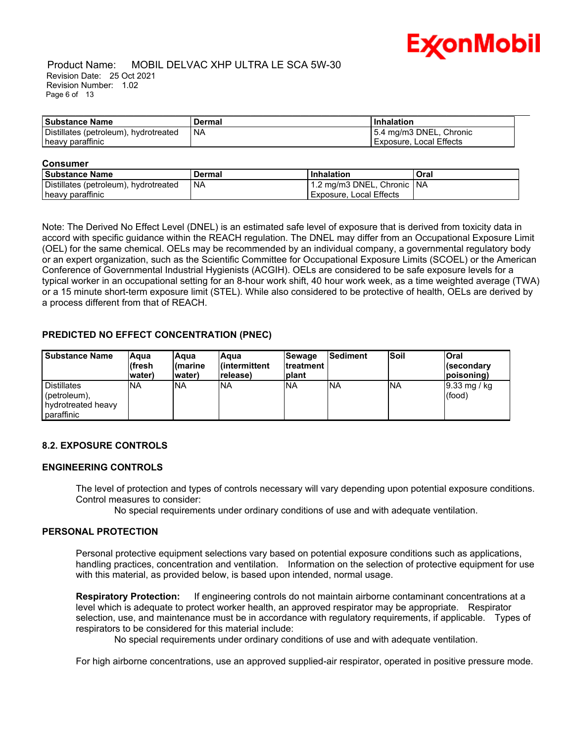

#### Product Name: MOBIL DELVAC XHP ULTRA LE SCA 5W-30 Revision Date: 25 Oct 2021 Revision Number: 1.02 Page 6 of 13

| <b>Substance Name</b>                 | Dermal | <b>Inhalation</b>       |
|---------------------------------------|--------|-------------------------|
| Distillates (petroleum), hydrotreated | ' NA   | 5.4 mg/m3 DNEL, Chronic |
| heavy paraffinic                      |        | Exposure, Local Effects |

\_\_\_\_\_\_\_\_\_\_\_\_\_\_\_\_\_\_\_\_\_\_\_\_\_\_\_\_\_\_\_\_\_\_\_\_\_\_\_\_\_\_\_\_\_\_\_\_\_\_\_\_\_\_\_\_\_\_\_\_\_\_\_\_\_\_\_\_\_\_\_\_\_\_\_\_\_\_\_\_\_\_\_\_\_\_\_\_\_\_\_\_\_\_\_\_\_\_\_\_\_\_\_\_\_\_\_\_\_\_\_\_\_\_\_\_\_

#### **Consumer**

| l Substance Name                      | Dermal | l Inhalation                 | Oral |
|---------------------------------------|--------|------------------------------|------|
| Distillates (petroleum), hydrotreated | l NA   | 1.2 mg/m3 DNEL, Chronic   NA |      |
| heavy paraffinic                      |        | l Exposure. Local Effects    |      |

Note: The Derived No Effect Level (DNEL) is an estimated safe level of exposure that is derived from toxicity data in accord with specific guidance within the REACH regulation. The DNEL may differ from an Occupational Exposure Limit (OEL) for the same chemical. OELs may be recommended by an individual company, a governmental regulatory body or an expert organization, such as the Scientific Committee for Occupational Exposure Limits (SCOEL) or the American Conference of Governmental Industrial Hygienists (ACGIH). OELs are considered to be safe exposure levels for a typical worker in an occupational setting for an 8-hour work shift, 40 hour work week, as a time weighted average (TWA) or a 15 minute short-term exposure limit (STEL). While also considered to be protective of health, OELs are derived by a process different from that of REACH.

## **PREDICTED NO EFFECT CONCENTRATION (PNEC)**

| <b>Substance Name</b>                                                      | lAqua<br>(fresh<br>lwater) | lAqua<br>l(marine<br>lwater) | lAqua<br>l(intermittent<br>release) | <b>Sewage</b><br><b>Itreatment</b><br><b>Iplant</b> | <b>Sediment</b> | <b>Soil</b> | <b>Oral</b><br>l(secondarv<br>poisoning) |
|----------------------------------------------------------------------------|----------------------------|------------------------------|-------------------------------------|-----------------------------------------------------|-----------------|-------------|------------------------------------------|
| <b>Distillates</b><br>$ $ (petroleum),<br>hydrotreated heavy<br>paraffinic | <b>NA</b>                  | INA                          | <b>NA</b>                           | <b>NA</b>                                           | <b>INA</b>      | <b>NA</b>   | $ 9.33 \text{ mg}$ / kg<br>(food)        |

## **8.2. EXPOSURE CONTROLS**

#### **ENGINEERING CONTROLS**

The level of protection and types of controls necessary will vary depending upon potential exposure conditions. Control measures to consider:

No special requirements under ordinary conditions of use and with adequate ventilation.

#### **PERSONAL PROTECTION**

Personal protective equipment selections vary based on potential exposure conditions such as applications, handling practices, concentration and ventilation. Information on the selection of protective equipment for use with this material, as provided below, is based upon intended, normal usage.

**Respiratory Protection:** If engineering controls do not maintain airborne contaminant concentrations at a level which is adequate to protect worker health, an approved respirator may be appropriate. Respirator selection, use, and maintenance must be in accordance with regulatory requirements, if applicable. Types of respirators to be considered for this material include:

No special requirements under ordinary conditions of use and with adequate ventilation.

For high airborne concentrations, use an approved supplied-air respirator, operated in positive pressure mode.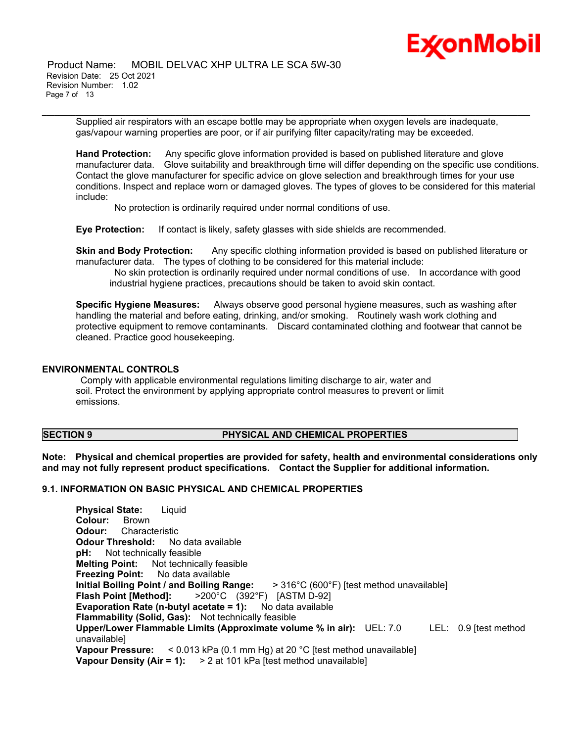

 Product Name: MOBIL DELVAC XHP ULTRA LE SCA 5W-30 Revision Date: 25 Oct 2021 Revision Number: 1.02 Page 7 of 13

\_\_\_\_\_\_\_\_\_\_\_\_\_\_\_\_\_\_\_\_\_\_\_\_\_\_\_\_\_\_\_\_\_\_\_\_\_\_\_\_\_\_\_\_\_\_\_\_\_\_\_\_\_\_\_\_\_\_\_\_\_\_\_\_\_\_\_\_\_\_\_\_\_\_\_\_\_\_\_\_\_\_\_\_\_\_\_\_\_\_\_\_\_\_\_\_\_\_\_\_\_\_\_\_\_\_\_\_\_\_\_\_\_\_\_\_\_ Supplied air respirators with an escape bottle may be appropriate when oxygen levels are inadequate, gas/vapour warning properties are poor, or if air purifying filter capacity/rating may be exceeded.

**Hand Protection:** Any specific glove information provided is based on published literature and glove manufacturer data. Glove suitability and breakthrough time will differ depending on the specific use conditions. Contact the glove manufacturer for specific advice on glove selection and breakthrough times for your use conditions. Inspect and replace worn or damaged gloves. The types of gloves to be considered for this material include:

No protection is ordinarily required under normal conditions of use.

**Eye Protection:** If contact is likely, safety glasses with side shields are recommended.

**Skin and Body Protection:** Any specific clothing information provided is based on published literature or manufacturer data. The types of clothing to be considered for this material include:

No skin protection is ordinarily required under normal conditions of use. In accordance with good industrial hygiene practices, precautions should be taken to avoid skin contact.

**Specific Hygiene Measures:** Always observe good personal hygiene measures, such as washing after handling the material and before eating, drinking, and/or smoking. Routinely wash work clothing and protective equipment to remove contaminants. Discard contaminated clothing and footwear that cannot be cleaned. Practice good housekeeping.

#### **ENVIRONMENTAL CONTROLS**

Comply with applicable environmental regulations limiting discharge to air, water and soil. Protect the environment by applying appropriate control measures to prevent or limit emissions.

#### **SECTION 9 PHYSICAL AND CHEMICAL PROPERTIES**

**Note: Physical and chemical properties are provided for safety, health and environmental considerations only and may not fully represent product specifications. Contact the Supplier for additional information.**

## **9.1. INFORMATION ON BASIC PHYSICAL AND CHEMICAL PROPERTIES**

**Physical State:** Liquid **Colour:** Brown **Odour:** Characteristic **Odour Threshold:** No data available **pH:** Not technically feasible **Melting Point:** Not technically feasible **Freezing Point:** No data available **Initial Boiling Point / and Boiling Range:** > 316°C (600°F) [test method unavailable] **Flash Point [Method]:** >200°C (392°F) [ASTM D-92] **Evaporation Rate (n-butyl acetate = 1):** No data available **Flammability (Solid, Gas):** Not technically feasible **Upper/Lower Flammable Limits (Approximate volume % in air):** UEL: 7.0 LEL: 0.9 [test method unavailable] **Vapour Pressure:** < 0.013 kPa (0.1 mm Hg) at 20 °C [test method unavailable] **Vapour Density (Air = 1):** > 2 at 101 kPa [test method unavailable]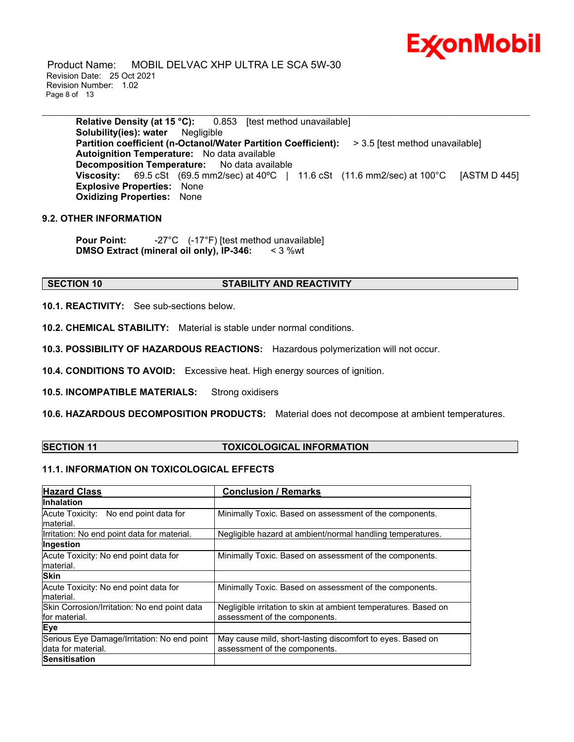Product Name: MOBIL DELVAC XHP ULTRA LE SCA 5W-30 Revision Date: 25 Oct 2021 Revision Number: 1.02 Page 8 of 13

**Relative Density (at 15 °C):** 0.853 [test method unavailable] **Solubility(ies): water** Negligible **Partition coefficient (n-Octanol/Water Partition Coefficient):** > 3.5 [test method unavailable] **Autoignition Temperature:** No data available **Decomposition Temperature:** No data available **Viscosity:** 69.5 cSt (69.5 mm2/sec) at 40ºC | 11.6 cSt (11.6 mm2/sec) at 100°C [ASTM D 445] **Explosive Properties:** None **Oxidizing Properties:** None

\_\_\_\_\_\_\_\_\_\_\_\_\_\_\_\_\_\_\_\_\_\_\_\_\_\_\_\_\_\_\_\_\_\_\_\_\_\_\_\_\_\_\_\_\_\_\_\_\_\_\_\_\_\_\_\_\_\_\_\_\_\_\_\_\_\_\_\_\_\_\_\_\_\_\_\_\_\_\_\_\_\_\_\_\_\_\_\_\_\_\_\_\_\_\_\_\_\_\_\_\_\_\_\_\_\_\_\_\_\_\_\_\_\_\_\_\_

## **9.2. OTHER INFORMATION**

**Pour Point:**  $-27^{\circ}$ C (-17<sup>°</sup>F) [test method unavailable] **DMSO Extract (mineral oil only), IP-346:** < 3 %wt

#### **SECTION 10 STABILITY AND REACTIVITY**

**10.1. REACTIVITY:** See sub-sections below.

**10.2. CHEMICAL STABILITY:** Material is stable under normal conditions.

**10.3. POSSIBILITY OF HAZARDOUS REACTIONS:** Hazardous polymerization will not occur.

**10.4. CONDITIONS TO AVOID:** Excessive heat. High energy sources of ignition.

**10.5. INCOMPATIBLE MATERIALS:** Strong oxidisers

**10.6. HAZARDOUS DECOMPOSITION PRODUCTS:** Material does not decompose at ambient temperatures.

#### **SECTION 11 TOXICOLOGICAL INFORMATION**

## **11.1. INFORMATION ON TOXICOLOGICAL EFFECTS**

| <b>Hazard Class</b>                                                | <b>Conclusion / Remarks</b>                                                                      |
|--------------------------------------------------------------------|--------------------------------------------------------------------------------------------------|
| <b>Inhalation</b>                                                  |                                                                                                  |
| Acute Toxicity: No end point data for<br>lmaterial.                | Minimally Toxic. Based on assessment of the components.                                          |
| Irritation: No end point data for material.                        | Negligible hazard at ambient/normal handling temperatures.                                       |
| Ingestion                                                          |                                                                                                  |
| Acute Toxicity: No end point data for<br>lmaterial.                | Minimally Toxic. Based on assessment of the components.                                          |
| <b>Skin</b>                                                        |                                                                                                  |
| Acute Toxicity: No end point data for<br>material.                 | Minimally Toxic. Based on assessment of the components.                                          |
| Skin Corrosion/Irritation: No end point data<br>for material.      | Negligible irritation to skin at ambient temperatures. Based on<br>assessment of the components. |
| Eye                                                                |                                                                                                  |
| Serious Eye Damage/Irritation: No end point<br>ldata for material. | May cause mild, short-lasting discomfort to eyes. Based on<br>assessment of the components.      |
| <b>Sensitisation</b>                                               |                                                                                                  |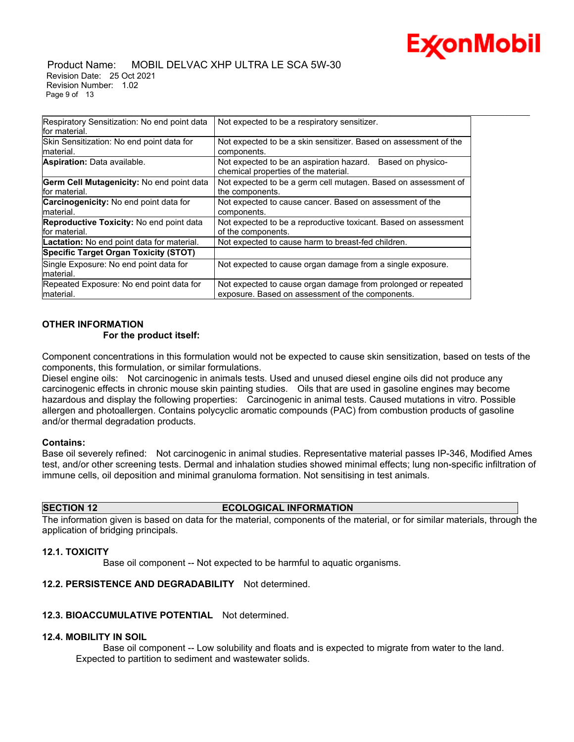

#### Product Name: MOBIL DELVAC XHP ULTRA LE SCA 5W-30 Revision Date: 25 Oct 2021 Revision Number: 1.02 Page 9 of 13

| Respiratory Sensitization: No end point data<br>lfor material.    | Not expected to be a respiratory sensitizer.                                                                      |
|-------------------------------------------------------------------|-------------------------------------------------------------------------------------------------------------------|
| Skin Sensitization: No end point data for<br>material.            | Not expected to be a skin sensitizer. Based on assessment of the<br>components.                                   |
| <b>Aspiration:</b> Data available.                                | Not expected to be an aspiration hazard. Based on physico-<br>chemical properties of the material.                |
| Germ Cell Mutagenicity: No end point data<br>lfor material.       | Not expected to be a germ cell mutagen. Based on assessment of<br>the components.                                 |
| <b>Carcinogenicity:</b> No end point data for<br>material.        | Not expected to cause cancer. Based on assessment of the<br>components.                                           |
| <b>Reproductive Toxicity:</b> No end point data<br>lfor material. | Not expected to be a reproductive toxicant. Based on assessment<br>of the components.                             |
| Lactation: No end point data for material.                        | Not expected to cause harm to breast-fed children.                                                                |
| <b>Specific Target Organ Toxicity (STOT)</b>                      |                                                                                                                   |
| Single Exposure: No end point data for<br>material.               | Not expected to cause organ damage from a single exposure.                                                        |
| Repeated Exposure: No end point data for<br>material.             | Not expected to cause organ damage from prolonged or repeated<br>exposure. Based on assessment of the components. |

## **OTHER INFORMATION**

#### **For the product itself:**

Component concentrations in this formulation would not be expected to cause skin sensitization, based on tests of the components, this formulation, or similar formulations.

Diesel engine oils: Not carcinogenic in animals tests. Used and unused diesel engine oils did not produce any carcinogenic effects in chronic mouse skin painting studies. Oils that are used in gasoline engines may become hazardous and display the following properties: Carcinogenic in animal tests. Caused mutations in vitro. Possible allergen and photoallergen. Contains polycyclic aromatic compounds (PAC) from combustion products of gasoline and/or thermal degradation products.

#### **Contains:**

Base oil severely refined: Not carcinogenic in animal studies. Representative material passes IP-346, Modified Ames test, and/or other screening tests. Dermal and inhalation studies showed minimal effects; lung non-specific infiltration of immune cells, oil deposition and minimal granuloma formation. Not sensitising in test animals.

#### **SECTION 12 ECOLOGICAL INFORMATION**

The information given is based on data for the material, components of the material, or for similar materials, through the application of bridging principals.

#### **12.1. TOXICITY**

Base oil component -- Not expected to be harmful to aquatic organisms.

## **12.2. PERSISTENCE AND DEGRADABILITY** Not determined.

#### **12.3. BIOACCUMULATIVE POTENTIAL** Not determined.

#### **12.4. MOBILITY IN SOIL**

 Base oil component -- Low solubility and floats and is expected to migrate from water to the land. Expected to partition to sediment and wastewater solids.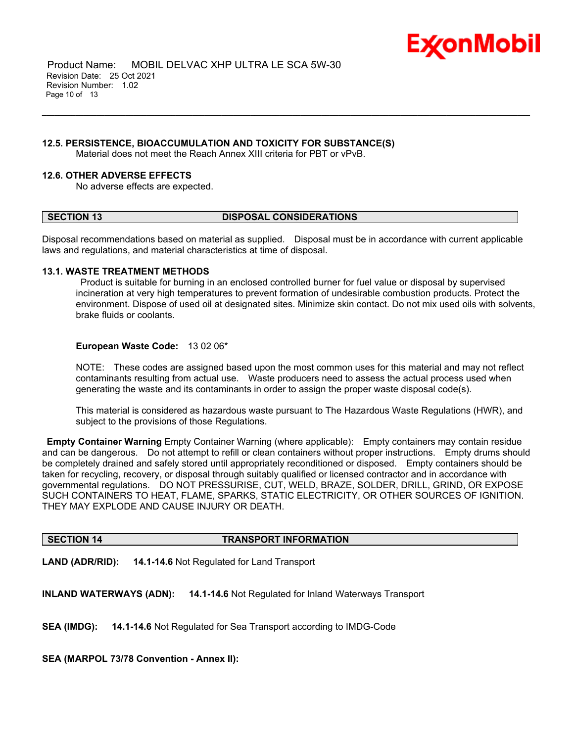

 Product Name: MOBIL DELVAC XHP ULTRA LE SCA 5W-30 Revision Date: 25 Oct 2021 Revision Number: 1.02 Page 10 of 13

#### **12.5. PERSISTENCE, BIOACCUMULATION AND TOXICITY FOR SUBSTANCE(S)**

Material does not meet the Reach Annex XIII criteria for PBT or vPvB.

#### **12.6. OTHER ADVERSE EFFECTS**

No adverse effects are expected.

#### **SECTION 13 DISPOSAL CONSIDERATIONS**

\_\_\_\_\_\_\_\_\_\_\_\_\_\_\_\_\_\_\_\_\_\_\_\_\_\_\_\_\_\_\_\_\_\_\_\_\_\_\_\_\_\_\_\_\_\_\_\_\_\_\_\_\_\_\_\_\_\_\_\_\_\_\_\_\_\_\_\_\_\_\_\_\_\_\_\_\_\_\_\_\_\_\_\_\_\_\_\_\_\_\_\_\_\_\_\_\_\_\_\_\_\_\_\_\_\_\_\_\_\_\_\_\_\_\_\_\_

Disposal recommendations based on material as supplied. Disposal must be in accordance with current applicable laws and regulations, and material characteristics at time of disposal.

#### **13.1. WASTE TREATMENT METHODS**

Product is suitable for burning in an enclosed controlled burner for fuel value or disposal by supervised incineration at very high temperatures to prevent formation of undesirable combustion products. Protect the environment. Dispose of used oil at designated sites. Minimize skin contact. Do not mix used oils with solvents, brake fluids or coolants.

#### **European Waste Code:** 13 02 06\*

NOTE: These codes are assigned based upon the most common uses for this material and may not reflect contaminants resulting from actual use. Waste producers need to assess the actual process used when generating the waste and its contaminants in order to assign the proper waste disposal code(s).

This material is considered as hazardous waste pursuant to The Hazardous Waste Regulations (HWR), and subject to the provisions of those Regulations.

**Empty Container Warning** Empty Container Warning (where applicable): Empty containers may contain residue and can be dangerous. Do not attempt to refill or clean containers without proper instructions. Empty drums should be completely drained and safely stored until appropriately reconditioned or disposed. Empty containers should be taken for recycling, recovery, or disposal through suitably qualified or licensed contractor and in accordance with governmental regulations. DO NOT PRESSURISE, CUT, WELD, BRAZE, SOLDER, DRILL, GRIND, OR EXPOSE SUCH CONTAINERS TO HEAT, FLAME, SPARKS, STATIC ELECTRICITY, OR OTHER SOURCES OF IGNITION. THEY MAY EXPLODE AND CAUSE INJURY OR DEATH.

#### **SECTION 14 TRANSPORT INFORMATION**

**LAND (ADR/RID): 14.1-14.6** Not Regulated for Land Transport

**INLAND WATERWAYS (ADN): 14.1-14.6** Not Regulated for Inland Waterways Transport

**SEA (IMDG): 14.1-14.6** Not Regulated for Sea Transport according to IMDG-Code

**SEA (MARPOL 73/78 Convention - Annex II):**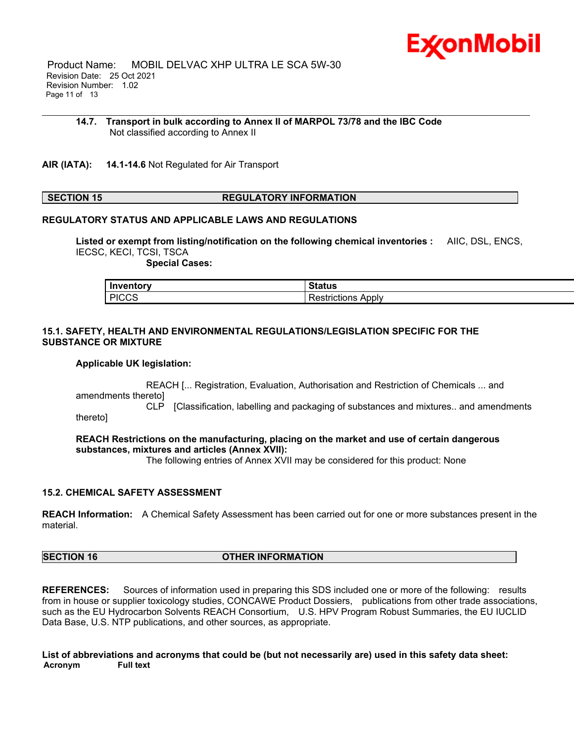

 Product Name: MOBIL DELVAC XHP ULTRA LE SCA 5W-30 Revision Date: 25 Oct 2021 Revision Number: 1.02 Page 11 of 13

#### **14.7. Transport in bulk according to Annex II of MARPOL 73/78 and the IBC Code** Not classified according to Annex II

\_\_\_\_\_\_\_\_\_\_\_\_\_\_\_\_\_\_\_\_\_\_\_\_\_\_\_\_\_\_\_\_\_\_\_\_\_\_\_\_\_\_\_\_\_\_\_\_\_\_\_\_\_\_\_\_\_\_\_\_\_\_\_\_\_\_\_\_\_\_\_\_\_\_\_\_\_\_\_\_\_\_\_\_\_\_\_\_\_\_\_\_\_\_\_\_\_\_\_\_\_\_\_\_\_\_\_\_\_\_\_\_\_\_\_\_\_

**AIR (IATA): 14.1-14.6** Not Regulated for Air Transport

#### **SECTION 15 REGULATORY INFORMATION**

#### **REGULATORY STATUS AND APPLICABLE LAWS AND REGULATIONS**

**Listed or exempt from listing/notification on the following chemical inventories :** AIIC, DSL, ENCS, IECSC, KECI, TCSI, TSCA

 **Special Cases:**

| Inventory | <b>Status</b> |
|-----------|---------------|
| L PICCS   | Appiv         |
| טטט،      | `SUICUONS     |

#### **15.1. SAFETY, HEALTH AND ENVIRONMENTAL REGULATIONS/LEGISLATION SPECIFIC FOR THE SUBSTANCE OR MIXTURE**

#### **Applicable UK legislation:**

 REACH [... Registration, Evaluation, Authorisation and Restriction of Chemicals ... and amendments thereto]

 CLP [Classification, labelling and packaging of substances and mixtures.. and amendments thereto]

**REACH Restrictions on the manufacturing, placing on the market and use of certain dangerous substances, mixtures and articles (Annex XVII):**

The following entries of Annex XVII may be considered for this product: None

#### **15.2. CHEMICAL SAFETY ASSESSMENT**

**REACH Information:** A Chemical Safety Assessment has been carried out for one or more substances present in the material.

## **SECTION 16 OTHER INFORMATION**

**REFERENCES:** Sources of information used in preparing this SDS included one or more of the following: results from in house or supplier toxicology studies, CONCAWE Product Dossiers, publications from other trade associations, such as the EU Hydrocarbon Solvents REACH Consortium, U.S. HPV Program Robust Summaries, the EU IUCLID Data Base, U.S. NTP publications, and other sources, as appropriate.

List of abbreviations and acronyms that could be (but not necessarily are) used in this safety data sheet: **Acronym Full text**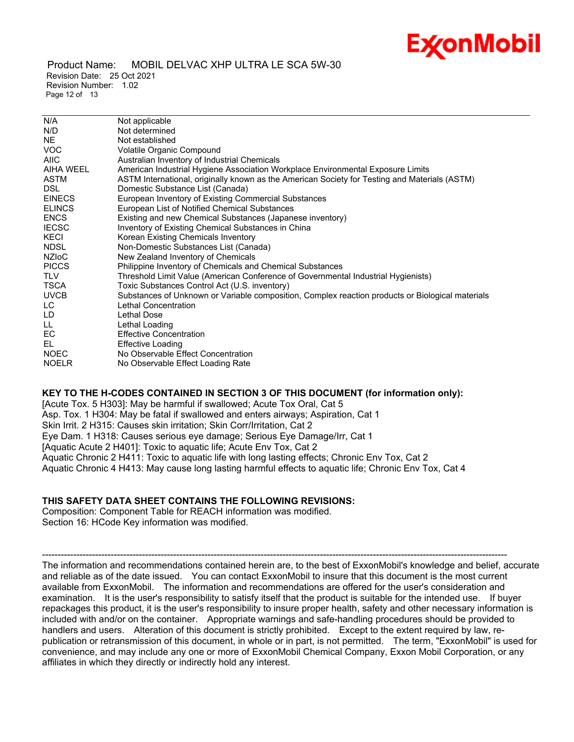Product Name: MOBIL DELVAC XHP ULTRA LE SCA 5W-30 Revision Date: 25 Oct 2021 Revision Number: 1.02 Page 12 of 13

| N/A           | Not applicable                                                                                   |
|---------------|--------------------------------------------------------------------------------------------------|
| N/D           | Not determined                                                                                   |
| NE.           | Not established                                                                                  |
| <b>VOC</b>    | Volatile Organic Compound                                                                        |
| <b>AIIC</b>   | Australian Inventory of Industrial Chemicals                                                     |
| AIHA WEEL     | American Industrial Hygiene Association Workplace Environmental Exposure Limits                  |
| ASTM          | ASTM International, originally known as the American Society for Testing and Materials (ASTM)    |
| <b>DSL</b>    | Domestic Substance List (Canada)                                                                 |
| <b>EINECS</b> | European Inventory of Existing Commercial Substances                                             |
| <b>ELINCS</b> | European List of Notified Chemical Substances                                                    |
| <b>ENCS</b>   | Existing and new Chemical Substances (Japanese inventory)                                        |
| <b>IECSC</b>  | Inventory of Existing Chemical Substances in China                                               |
| KECI          | Korean Existing Chemicals Inventory                                                              |
| <b>NDSL</b>   | Non-Domestic Substances List (Canada)                                                            |
| NZIoC         | New Zealand Inventory of Chemicals                                                               |
| <b>PICCS</b>  | Philippine Inventory of Chemicals and Chemical Substances                                        |
| <b>TLV</b>    | Threshold Limit Value (American Conference of Governmental Industrial Hygienists)                |
| <b>TSCA</b>   | Toxic Substances Control Act (U.S. inventory)                                                    |
| <b>UVCB</b>   | Substances of Unknown or Variable composition, Complex reaction products or Biological materials |
| LC            | Lethal Concentration                                                                             |
| LD            | Lethal Dose                                                                                      |
| LL.           | Lethal Loading                                                                                   |
| EC            | <b>Effective Concentration</b>                                                                   |
| EL.           | Effective Loading                                                                                |
| <b>NOEC</b>   | No Observable Effect Concentration                                                               |
| <b>NOELR</b>  | No Observable Effect Loading Rate                                                                |
|               |                                                                                                  |

\_\_\_\_\_\_\_\_\_\_\_\_\_\_\_\_\_\_\_\_\_\_\_\_\_\_\_\_\_\_\_\_\_\_\_\_\_\_\_\_\_\_\_\_\_\_\_\_\_\_\_\_\_\_\_\_\_\_\_\_\_\_\_\_\_\_\_\_\_\_\_\_\_\_\_\_\_\_\_\_\_\_\_\_\_\_\_\_\_\_\_\_\_\_\_\_\_\_\_\_\_\_\_\_\_\_\_\_\_\_\_\_\_\_\_\_\_

#### **KEY TO THE H-CODES CONTAINED IN SECTION 3 OF THIS DOCUMENT (for information only):**

[Acute Tox. 5 H303]: May be harmful if swallowed; Acute Tox Oral, Cat 5 Asp. Tox. 1 H304: May be fatal if swallowed and enters airways; Aspiration, Cat 1 Skin Irrit. 2 H315: Causes skin irritation; Skin Corr/Irritation, Cat 2 Eye Dam. 1 H318: Causes serious eye damage; Serious Eye Damage/Irr, Cat 1 [Aquatic Acute 2 H401]: Toxic to aquatic life; Acute Env Tox, Cat 2 Aquatic Chronic 2 H411: Toxic to aquatic life with long lasting effects; Chronic Env Tox, Cat 2 Aquatic Chronic 4 H413: May cause long lasting harmful effects to aquatic life; Chronic Env Tox, Cat 4

#### **THIS SAFETY DATA SHEET CONTAINS THE FOLLOWING REVISIONS:**

Composition: Component Table for REACH information was modified. Section 16: HCode Key information was modified.

----------------------------------------------------------------------------------------------------------------------------------------------------- The information and recommendations contained herein are, to the best of ExxonMobil's knowledge and belief, accurate and reliable as of the date issued. You can contact ExxonMobil to insure that this document is the most current available from ExxonMobil. The information and recommendations are offered for the user's consideration and examination. It is the user's responsibility to satisfy itself that the product is suitable for the intended use. If buyer repackages this product, it is the user's responsibility to insure proper health, safety and other necessary information is included with and/or on the container. Appropriate warnings and safe-handling procedures should be provided to handlers and users. Alteration of this document is strictly prohibited. Except to the extent required by law, republication or retransmission of this document, in whole or in part, is not permitted. The term, "ExxonMobil" is used for convenience, and may include any one or more of ExxonMobil Chemical Company, Exxon Mobil Corporation, or any affiliates in which they directly or indirectly hold any interest.